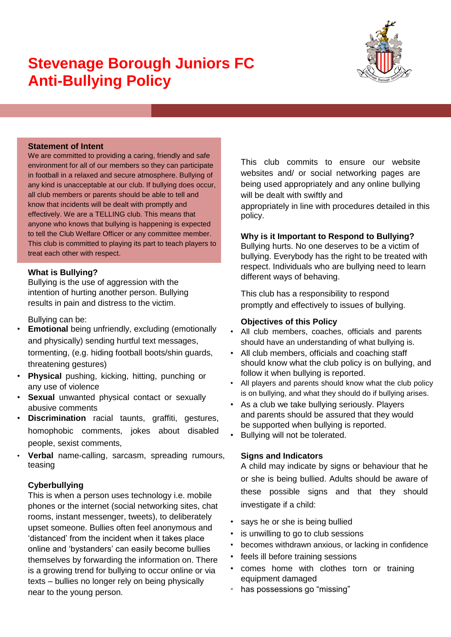# **Stevenage Borough Juniors FC Anti-Bullying Policy**



## **Statement of Intent**

We are committed to providing a caring, friendly and safe environment for all of our members so they can participate in football in a relaxed and secure atmosphere. Bullying of any kind is unacceptable at our club. If bullying does occur, all club members or parents should be able to tell and know that incidents will be dealt with promptly and effectively. We are a TELLING club. This means that anyone who knows that bullying is happening is expected to tell the Club Welfare Officer or any committee member. This club is committed to playing its part to teach players to treat each other with respect.

## **What is Bullying?**

Bullying is the use of aggression with the intention of hurting another person. Bullying results in pain and distress to the victim.

Bullying can be:

- **Emotional** being unfriendly, excluding (emotionally and physically) sending hurtful text messages, tormenting, (e.g. hiding football boots/shin guards, threatening gestures)
- **Physical** pushing, kicking, hitting, punching or any use of violence
- **Sexual** unwanted physical contact or sexually abusive comments
- **Discrimination** racial taunts, graffiti, gestures, homophobic comments, jokes about disabled people, sexist comments,
- **Verbal** name-calling, sarcasm, spreading rumours, teasing

### **Cyberbullying**

This is when a person uses technology i.e. mobile phones or the internet (social networking sites, chat rooms, instant messenger, tweets), to deliberately upset someone. Bullies often feel anonymous and 'distanced' from the incident when it takes place online and 'bystanders' can easily become bullies themselves by forwarding the information on. There is a growing trend for bullying to occur online or via texts – bullies no longer rely on being physically near to the young person.

This club commits to ensure our website websites and/ or social networking pages are being used appropriately and any online bullying will be dealt with swiftly and

appropriately in line with procedures detailed in this policy.

#### **Why is it Important to Respond to Bullying?**

Bullying hurts. No one deserves to be a victim of bullying. Everybody has the right to be treated with respect. Individuals who are bullying need to learn different ways of behaving.

This club has a responsibility to respond promptly and effectively to issues of bullying.

#### **Objectives of this Policy**

- All club members, coaches, officials and parents should have an understanding of what bullying is.
- All club members, officials and coaching staff should know what the club policy is on bullying, and follow it when bullying is reported.
- All players and parents should know what the club policy is on bullying, and what they should do if bullying arises.
- As a club we take bullying seriously. Players and parents should be assured that they would be supported when bullying is reported.
- Bullying will not be tolerated.

### **Signs and Indicators**

A child may indicate by signs or behaviour that he or she is being bullied. Adults should be aware of these possible signs and that they should investigate if a child:

- says he or she is being bullied
- is unwilling to go to club sessions
- becomes withdrawn anxious, or lacking in confidence
- feels ill before training sessions
- comes home with clothes torn or training equipment damaged
- has possessions go "missing"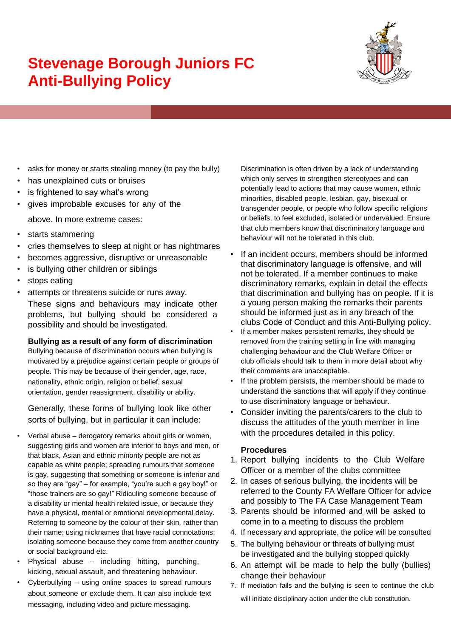# **Stevenage Borough Juniors FC Anti-Bullying Policy**



- asks for money or starts stealing money (to pay the bully)
- has unexplained cuts or bruises
- is frightened to say what's wrong
- gives improbable excuses for any of the

above. In more extreme cases:

- starts stammering
- cries themselves to sleep at night or has nightmares
- becomes aggressive, disruptive or unreasonable
- is bullying other children or siblings
- stops eating
- attempts or threatens suicide or runs away. These signs and behaviours may indicate other problems, but bullying should be considered a possibility and should be investigated.

### **Bullying as a result of any form of discrimination**

Bullying because of discrimination occurs when bullying is motivated by a prejudice against certain people or groups of people. This may be because of their gender, age, race, nationality, ethnic origin, religion or belief, sexual orientation, gender reassignment, disability or ability.

Generally, these forms of bullying look like other sorts of bullying, but in particular it can include:

- Verbal abuse derogatory remarks about girls or women, suggesting girls and women are inferior to boys and men, or that black, Asian and ethnic minority people are not as capable as white people; spreading rumours that someone is gay, suggesting that something or someone is inferior and so they are "gay" – for example, "you're such a gay boy!" or "those trainers are so gay!" Ridiculing someone because of a disability or mental health related issue, or because they have a physical, mental or emotional developmental delay. Referring to someone by the colour of their skin, rather than their name; using nicknames that have racial connotations; isolating someone because they come from another country or social background etc.
- Physical abuse including hitting, punching, kicking, sexual assault, and threatening behaviour.
- Cyberbullying using online spaces to spread rumours about someone or exclude them. It can also include text messaging, including video and picture messaging.

Discrimination is often driven by a lack of understanding which only serves to strengthen stereotypes and can potentially lead to actions that may cause women, ethnic minorities, disabled people, lesbian, gay, bisexual or transgender people, or people who follow specific religions or beliefs, to feel excluded, isolated or undervalued. Ensure that club members know that discriminatory language and behaviour will not be tolerated in this club.

- If an incident occurs, members should be informed that discriminatory language is offensive, and will not be tolerated. If a member continues to make discriminatory remarks, explain in detail the effects that discrimination and bullying has on people. If it is a young person making the remarks their parents should be informed just as in any breach of the clubs Code of Conduct and this Anti-Bullying policy.
- If a member makes persistent remarks, they should be removed from the training setting in line with managing challenging behaviour and the Club Welfare Officer or club officials should talk to them in more detail about why their comments are unacceptable.
- If the problem persists, the member should be made to understand the sanctions that will apply if they continue to use discriminatory language or behaviour.
- Consider inviting the parents/carers to the club to discuss the attitudes of the youth member in line with the procedures detailed in this policy.

### **Procedures**

- 1. Report bullying incidents to the Club Welfare Officer or a member of the clubs committee
- 2. In cases of serious bullying, the incidents will be referred to the County FA Welfare Officer for advice and possibly to The FA Case Management Team
- 3. Parents should be informed and will be asked to come in to a meeting to discuss the problem
- 4. If necessary and appropriate, the police will be consulted
- 5. The bullying behaviour or threats of bullying must be investigated and the bullying stopped quickly
- 6. An attempt will be made to help the bully (bullies) change their behaviour
- 7. If mediation fails and the bullying is seen to continue the club will initiate disciplinary action under the club constitution.